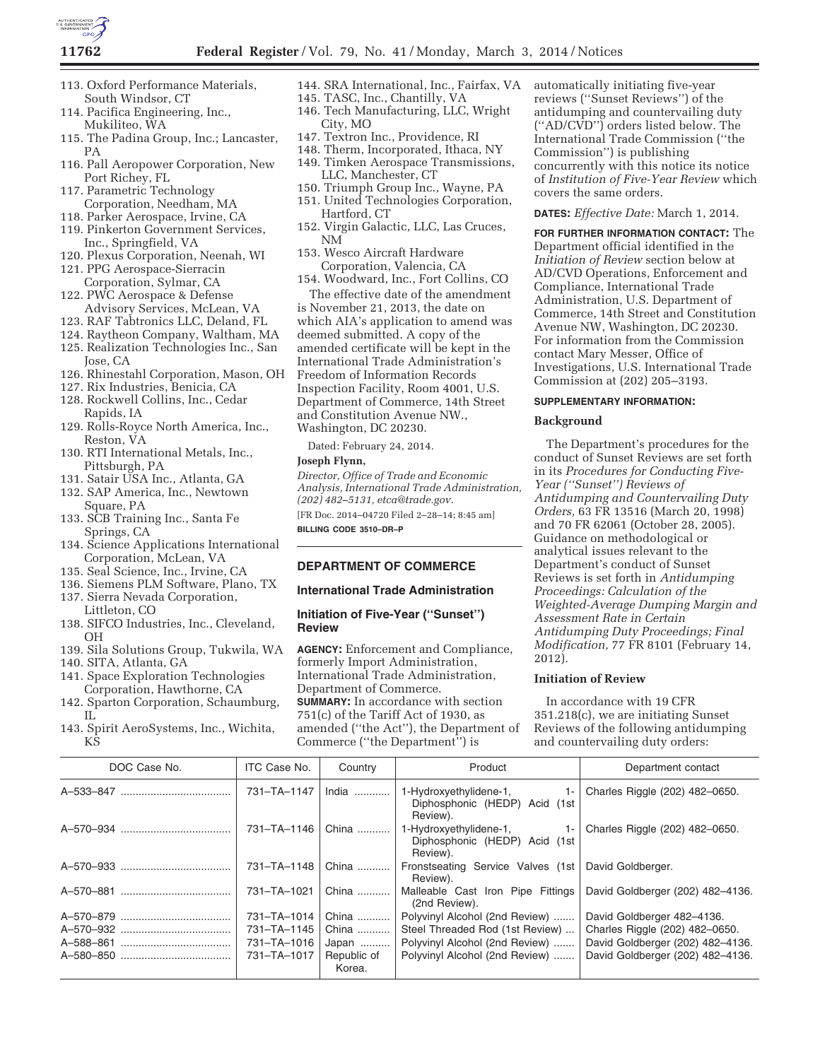

- 113. Oxford Performance Materials, South Windsor, CT
- 114. Pacifica Engineering, Inc., Mukiliteo, WA
- 115. The Padina Group, Inc.; Lancaster, PA
- 116. Pall Aeropower Corporation, New Port Richey, FL
- 117. Parametric Technology Corporation, Needham, MA
- 118. Parker Aerospace, Irvine, CA
- 119. Pinkerton Government Services, Inc., Springfield, VA
- 120. Plexus Corporation, Neenah, WI
- 121. PPG Aerospace-Sierracin Corporation, Sylmar, CA
- 122. PWC Aerospace & Defense Advisory Services, McLean, VA
- 123. RAF Tabtronics LLC, Deland, FL
- 124. Raytheon Company, Waltham, MA
- 125. Realization Technologies Inc., San
- Jose, CA 126. Rhinestahl Corporation, Mason, OH
- 127. Rix Industries, Benicia, CA
- 128. Rockwell Collins, Inc., Cedar
- Rapids, IA 129. Rolls-Royce North America, Inc.,
- Reston, VA
- 130. RTI International Metals, Inc., Pittsburgh, PA
- 131. Satair USA Inc., Atlanta, GA
- 132. SAP America, Inc., Newtown Square, PA
- 133. SCB Training Inc., Santa Fe Springs, CA
- 134. Science Applications International Corporation, McLean, VA
- 135. Seal Science, Inc., Irvine, CA
- 136. Siemens PLM Software, Plano, TX 137. Sierra Nevada Corporation,
- Littleton, CO 138. SIFCO Industries, Inc., Cleveland, OH
- 139. Sila Solutions Group, Tukwila, WA
- 140. SITA, Atlanta, GA
- 141. Space Exploration Technologies Corporation, Hawthorne, CA 142. Sparton Corporation, Schaumburg,
- IL
- 143. Spirit AeroSystems, Inc., Wichita, KS
- 144. SRA International, Inc., Fairfax, VA
- 145. TASC, Inc., Chantilly, VA 146. Tech Manufacturing, LLC, Wright City, MO
- 147. Textron Inc., Providence, RI
- 148. Therm, Incorporated, Ithaca, NY
- 149. Timken Aerospace Transmissions, LLC, Manchester, CT
- 150. Triumph Group Inc., Wayne, PA
- 151. United Technologies Corporation, Hartford, CT
- 152. Virgin Galactic, LLC, Las Cruces, NM
- 153. Wesco Aircraft Hardware Corporation, Valencia, CA
- 154. Woodward, Inc., Fort Collins, CO The effective date of the amendment

is November 21, 2013, the date on which AIA's application to amend was deemed submitted. A copy of the amended certificate will be kept in the International Trade Administration's Freedom of Information Records Inspection Facility, Room 4001, U.S. Department of Commerce, 14th Street and Constitution Avenue NW., Washington, DC 20230.

Dated: February 24, 2014.

#### **Joseph Flynn,**

*Director, Office of Trade and Economic Analysis, International Trade Administration, (202) 482–5131, etca@trade.gov.* 

[FR Doc. 2014–04720 Filed 2–28–14; 8:45 am] **BILLING CODE 3510–DR–P** 

## **DEPARTMENT OF COMMERCE**

#### **International Trade Administration**

# **Initiation of Five-Year (''Sunset'') Review**

**AGENCY:** Enforcement and Compliance, formerly Import Administration, International Trade Administration, Department of Commerce. **SUMMARY:** In accordance with section 751(c) of the Tariff Act of 1930, as amended (''the Act''), the Department of Commerce (''the Department'') is

automatically initiating five-year reviews (''Sunset Reviews'') of the antidumping and countervailing duty (''AD/CVD'') orders listed below. The International Trade Commission (''the Commission'') is publishing concurrently with this notice its notice of *Institution of Five-Year Review* which covers the same orders.

## **DATES:** *Effective Date:* March 1, 2014.

**FOR FURTHER INFORMATION CONTACT:** The Department official identified in the *Initiation of Review* section below at AD/CVD Operations, Enforcement and Compliance, International Trade Administration, U.S. Department of Commerce, 14th Street and Constitution Avenue NW, Washington, DC 20230. For information from the Commission contact Mary Messer, Office of Investigations, U.S. International Trade Commission at (202) 205–3193.

#### **SUPPLEMENTARY INFORMATION:**

#### **Background**

The Department's procedures for the conduct of Sunset Reviews are set forth in its *Procedures for Conducting Five-Year (''Sunset'') Reviews of Antidumping and Countervailing Duty Orders,* 63 FR 13516 (March 20, 1998) and 70 FR 62061 (October 28, 2005). Guidance on methodological or analytical issues relevant to the Department's conduct of Sunset Reviews is set forth in *Antidumping Proceedings: Calculation of the Weighted-Average Dumping Margin and Assessment Rate in Certain Antidumping Duty Proceedings; Final Modification,* 77 FR 8101 (February 14, 2012).

# **Initiation of Review**

In accordance with 19 CFR 351.218(c), we are initiating Sunset Reviews of the following antidumping and countervailing duty orders:

| DOC Case No. | ITC Case No.  | Country               | Product                                                                       | Department contact               |
|--------------|---------------|-----------------------|-------------------------------------------------------------------------------|----------------------------------|
|              | 731-TA-1147   | India                 | 1-Hydroxyethylidene-1,<br>$1 -$<br>Diphosphonic (HEDP) Acid (1st<br>Review).  | Charles Riggle (202) 482-0650.   |
|              | 731–TA–1146 L | China                 | 1-Hydroxyethylidene-1,<br>- 1- 1<br>Diphosphonic (HEDP) Acid (1st<br>Review). | Charles Riggle (202) 482-0650.   |
|              | 731-TA-1148   | China                 | Fronstseating Service Valves (1st<br>Review).                                 | David Goldberger.                |
|              | 731-TA-1021   | China                 | Malleable Cast Iron Pipe Fittings<br>(2nd Review).                            | David Goldberger (202) 482-4136. |
|              | 731-TA-1014   | China                 | Polyvinyl Alcohol (2nd Review)                                                | David Goldberger 482-4136.       |
|              | 731-TA-1145   | China                 | Steel Threaded Rod (1st Review)                                               | Charles Riggle (202) 482-0650.   |
| A-588-861    | 731-TA-1016   | Japan                 | Polyvinyl Alcohol (2nd Review)                                                | David Goldberger (202) 482-4136. |
|              | 731-TA-1017   | Republic of<br>Korea. | Polyvinyl Alcohol (2nd Review)                                                | David Goldberger (202) 482-4136. |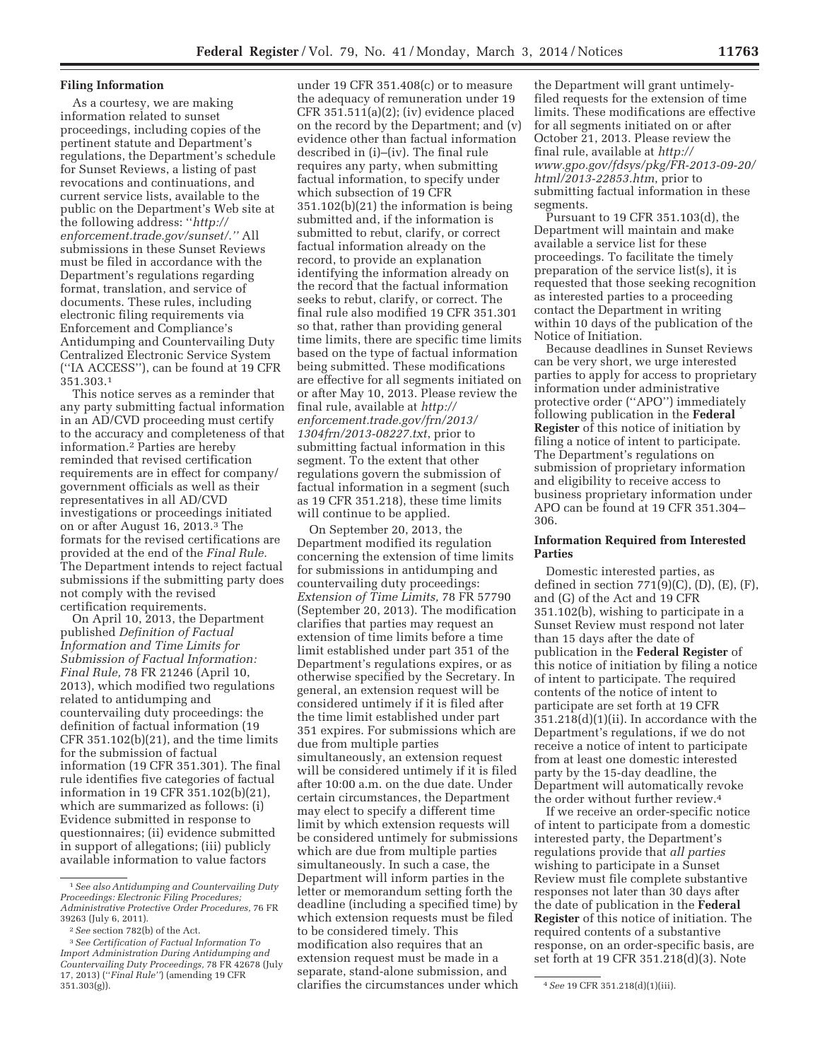## **Filing Information**

As a courtesy, we are making information related to sunset proceedings, including copies of the pertinent statute and Department's regulations, the Department's schedule for Sunset Reviews, a listing of past revocations and continuations, and current service lists, available to the public on the Department's Web site at the following address: ''*http:// enforcement.trade.gov/sunset/.''* All submissions in these Sunset Reviews must be filed in accordance with the Department's regulations regarding format, translation, and service of documents. These rules, including electronic filing requirements via Enforcement and Compliance's Antidumping and Countervailing Duty Centralized Electronic Service System (''IA ACCESS''), can be found at 19 CFR 351.303.1

This notice serves as a reminder that any party submitting factual information in an AD/CVD proceeding must certify to the accuracy and completeness of that information.2 Parties are hereby reminded that revised certification requirements are in effect for company/ government officials as well as their representatives in all AD/CVD investigations or proceedings initiated on or after August 16, 2013.3 The formats for the revised certifications are provided at the end of the *Final Rule.*  The Department intends to reject factual submissions if the submitting party does not comply with the revised certification requirements.

On April 10, 2013, the Department published *Definition of Factual Information and Time Limits for Submission of Factual Information: Final Rule,* 78 FR 21246 (April 10, 2013), which modified two regulations related to antidumping and countervailing duty proceedings: the definition of factual information (19 CFR 351.102(b)(21), and the time limits for the submission of factual information (19 CFR 351.301). The final rule identifies five categories of factual information in 19 CFR 351.102(b)(21), which are summarized as follows: (i) Evidence submitted in response to questionnaires; (ii) evidence submitted in support of allegations; (iii) publicly available information to value factors

under 19 CFR 351.408(c) or to measure the adequacy of remuneration under 19 CFR 351.511(a)(2); (iv) evidence placed on the record by the Department; and (v) evidence other than factual information described in (i)–(iv). The final rule requires any party, when submitting factual information, to specify under which subsection of 19 CFR 351.102(b)(21) the information is being submitted and, if the information is submitted to rebut, clarify, or correct factual information already on the record, to provide an explanation identifying the information already on the record that the factual information seeks to rebut, clarify, or correct. The final rule also modified 19 CFR 351.301 so that, rather than providing general time limits, there are specific time limits based on the type of factual information being submitted. These modifications are effective for all segments initiated on or after May 10, 2013. Please review the final rule, available at *http:// enforcement.trade.gov/frn/2013/ 1304frn/2013-08227.txt*, prior to submitting factual information in this segment. To the extent that other regulations govern the submission of factual information in a segment (such as 19 CFR 351.218), these time limits will continue to be applied.

On September 20, 2013, the Department modified its regulation concerning the extension of time limits for submissions in antidumping and countervailing duty proceedings: *Extension of Time Limits,* 78 FR 57790 (September 20, 2013). The modification clarifies that parties may request an extension of time limits before a time limit established under part 351 of the Department's regulations expires, or as otherwise specified by the Secretary. In general, an extension request will be considered untimely if it is filed after the time limit established under part 351 expires. For submissions which are due from multiple parties simultaneously, an extension request will be considered untimely if it is filed after 10:00 a.m. on the due date. Under certain circumstances, the Department may elect to specify a different time limit by which extension requests will be considered untimely for submissions which are due from multiple parties simultaneously. In such a case, the Department will inform parties in the letter or memorandum setting forth the deadline (including a specified time) by which extension requests must be filed to be considered timely. This modification also requires that an extension request must be made in a separate, stand-alone submission, and

the Department will grant untimelyfiled requests for the extension of time limits. These modifications are effective for all segments initiated on or after October 21, 2013. Please review the final rule, available at *http:// www.gpo.gov/fdsys/pkg/FR-2013-09-20/ html/2013-22853.htm*, prior to submitting factual information in these segments.

Pursuant to 19 CFR 351.103(d), the Department will maintain and make available a service list for these proceedings. To facilitate the timely preparation of the service list(s), it is requested that those seeking recognition as interested parties to a proceeding contact the Department in writing within 10 days of the publication of the Notice of Initiation.

Because deadlines in Sunset Reviews can be very short, we urge interested parties to apply for access to proprietary information under administrative protective order (''APO'') immediately following publication in the **Federal Register** of this notice of initiation by filing a notice of intent to participate. The Department's regulations on submission of proprietary information and eligibility to receive access to business proprietary information under APO can be found at 19 CFR 351.304– 306.

## **Information Required from Interested Parties**

Domestic interested parties, as defined in section 771(9)(C), (D), (E), (F), and (G) of the Act and 19 CFR 351.102(b), wishing to participate in a Sunset Review must respond not later than 15 days after the date of publication in the **Federal Register** of this notice of initiation by filing a notice of intent to participate. The required contents of the notice of intent to participate are set forth at 19 CFR 351.218(d)(1)(ii). In accordance with the Department's regulations, if we do not receive a notice of intent to participate from at least one domestic interested party by the 15-day deadline, the Department will automatically revoke the order without further review.4

If we receive an order-specific notice of intent to participate from a domestic interested party, the Department's regulations provide that *all parties*  wishing to participate in a Sunset Review must file complete substantive responses not later than 30 days after the date of publication in the **Federal Register** of this notice of initiation. The required contents of a substantive response, on an order-specific basis, are set forth at 19 CFR 351.218(d)(3). Note

<sup>1</sup>*See also Antidumping and Countervailing Duty Proceedings: Electronic Filing Procedures; Administrative Protective Order Procedures,* 76 FR 39263 (July 6, 2011).

<sup>2</sup>*See* section 782(b) of the Act.

<sup>3</sup>*See Certification of Factual Information To Import Administration During Antidumping and Countervailing Duty Proceedings,* 78 FR 42678 (July 17, 2013) (''*Final Rule''*) (amending 19 CFR 351.303(g)). 4*See* 19 CFR 351.218(d)(1)(iii). clarifies the circumstances under which